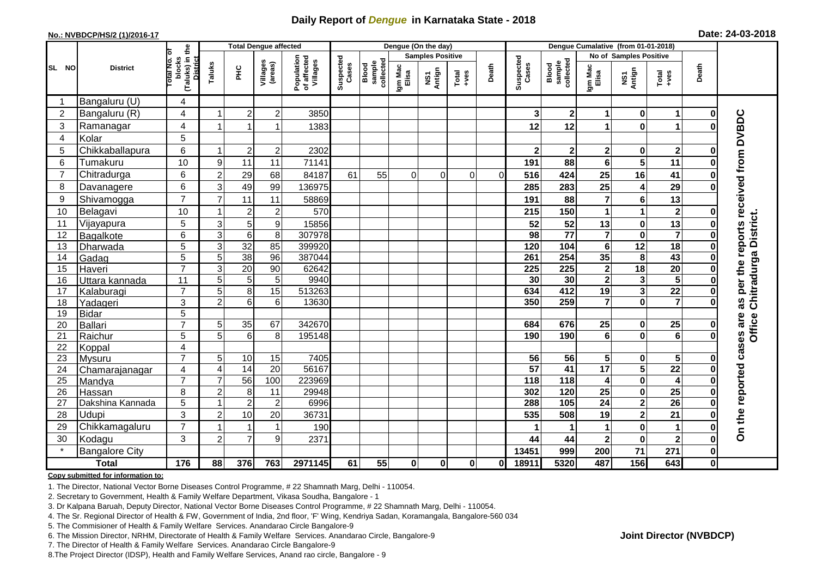## **Daily Report of** *Dengue* **in Karnataka State - 2018**

#### **No.: NVBDCP/HS/2 (1)/2016-17**

|  | Date: 24-03-2018 |  |  |
|--|------------------|--|--|
|--|------------------|--|--|

|                | <b>Total Dengue affected</b> |                                                   |                      |                     |                                                   |                                       | Dengue (On the day) |                              |                  |               |                  |                |                    | Dengue Cumalative (from 01-01-2018) |                         |                           |                         |              |                                     |
|----------------|------------------------------|---------------------------------------------------|----------------------|---------------------|---------------------------------------------------|---------------------------------------|---------------------|------------------------------|------------------|---------------|------------------|----------------|--------------------|-------------------------------------|-------------------------|---------------------------|-------------------------|--------------|-------------------------------------|
|                |                              | ৳                                                 |                      |                     | <b>Samples Positive</b><br>No of Samples Positive |                                       |                     |                              |                  |               |                  |                |                    |                                     |                         |                           |                         |              |                                     |
| SL NO          | <b>District</b>              | (Taluks) in the<br>District<br>blocks<br>otal No. | Taluks               | FЮ                  | Villages<br>(areas)                               | Population<br>of affected<br>Villages | Suspected<br>Cases  | sample<br>collected<br>Blood | Igm Mac<br>Elisa | NS1<br>Antign | $Tota$<br>$+ves$ | Death          | Suspected<br>Cases | collected<br><b>Blood</b><br>sample | Igm Mac<br>Elisa        | NS1<br>Antign             | Total<br>+ves           | Death        |                                     |
| -1             | Bangaluru (U)                | 4                                                 |                      |                     |                                                   |                                       |                     |                              |                  |               |                  |                |                    |                                     |                         |                           |                         |              |                                     |
| $\overline{2}$ | Bangaluru (R)                | 4                                                 |                      | $\overline{2}$      | $\overline{c}$                                    | 3850                                  |                     |                              |                  |               |                  |                | 3                  | 2 <sub>1</sub>                      | 1                       | $\bf{0}$                  | $\blacktriangleleft$    | $\bf{0}$     |                                     |
| 3              | Ramanagar                    | 4                                                 | $\overline{1}$       |                     | 1                                                 | 1383                                  |                     |                              |                  |               |                  |                | 12                 | 12                                  | $\blacktriangleleft$    | $\bf{0}$                  | 1                       |              | per the reports received from DVBDC |
| 4              | Kolar                        | 5                                                 |                      |                     |                                                   |                                       |                     |                              |                  |               |                  |                |                    |                                     |                         |                           |                         |              |                                     |
| 5              | Chikkaballapura              | 6                                                 | -1                   | $\overline{2}$      | $\overline{c}$                                    | 2302                                  |                     |                              |                  |               |                  |                | $\mathbf{2}$       | $\mathbf{2}$                        | $\mathbf 2$             | 0                         | $\overline{\mathbf{2}}$ | O            |                                     |
| 6              | Tumakuru                     | 10                                                | $\boldsymbol{9}$     | 11                  | 11                                                | 71141                                 |                     |                              |                  |               |                  |                | 191                | 88                                  | 6                       | 5                         | 11                      | Ω            |                                     |
| $\overline{7}$ | Chitradurga                  | 6                                                 | $\overline{2}$       | 29                  | 68                                                | 84187                                 | 61                  | 55                           | 01               | 0             | 0                | $\overline{0}$ | 516                | 424                                 | 25                      | 16                        | 41                      | 0            |                                     |
| 8              | Davanagere                   | 6                                                 | 3                    | 49                  | 99                                                | 136975                                |                     |                              |                  |               |                  |                | 285                | 283                                 | 25                      | 4                         | 29                      | በ            |                                     |
| 9              | Shivamogga                   | $\overline{7}$                                    | $\overline{7}$       | 11                  | 11                                                | 58869                                 |                     |                              |                  |               |                  |                | 191                | 88                                  | $\overline{7}$          | $\bf 6$                   | 13                      |              |                                     |
| 10             | Belagavi                     | 10                                                |                      | $\overline{2}$      | $\overline{c}$                                    | 570                                   |                     |                              |                  |               |                  |                | 215                | 150                                 | 1                       | 1                         | $\mathbf 2$             | Ω            |                                     |
| 11             | Vijayapura                   | 5                                                 | 3                    | 5                   | 9                                                 | 15856                                 |                     |                              |                  |               |                  |                | 52                 | 52                                  | 13                      | $\mathbf 0$               | 13                      |              | Chitradurga District.               |
| 12             | Bagalkote                    | 6                                                 | $\overline{3}$       | $\overline{6}$      | 8                                                 | 307978                                |                     |                              |                  |               |                  |                | 98                 | $\overline{77}$                     | $\overline{7}$          | $\overline{\mathbf{0}}$   | $\overline{\mathbf{7}}$ | O            |                                     |
| 13             | Dharwada                     | 5                                                 | 3                    | 32                  | 85                                                | 399920                                |                     |                              |                  |               |                  |                | 120                | 104                                 | 6                       | $\overline{12}$           | 18                      | O            |                                     |
| 14             | Gadag                        | 5                                                 | 5                    | 38                  | 96                                                | 387044                                |                     |                              |                  |               |                  |                | 261                | 254                                 | 35                      | 8                         | 43                      |              |                                     |
| 15             | Haveri                       | $\overline{7}$                                    | $\overline{3}$       | $\overline{20}$     | 90                                                | 62642                                 |                     |                              |                  |               |                  |                | 225                | $\overline{225}$                    | $\mathbf 2$             | $\overline{18}$           | $\overline{20}$         | O            |                                     |
| 16             | Uttara kannada               | 11                                                | 5                    | $\overline{5}$      | $\sqrt{5}$                                        | 9940                                  |                     |                              |                  |               |                  |                | 30                 | 30                                  | $\overline{\mathbf{2}}$ | $\mathbf 3$               | $\overline{\mathbf{5}}$ |              |                                     |
| 17             | Kalaburagi                   | $\overline{7}$                                    | 5                    | 8                   | 15                                                | 513263                                |                     |                              |                  |               |                  |                | 634                | 412                                 | 19                      | $\overline{\mathbf{3}}$   | $\overline{22}$         |              |                                     |
| 18             | Yadageri                     | 3                                                 | $\overline{2}$       | 6                   | 6                                                 | 13630                                 |                     |                              |                  |               |                  |                | 350                | 259                                 | $\overline{7}$          | $\mathbf 0$               | $\overline{\mathbf{z}}$ |              | 8g                                  |
| 19             | <b>Bidar</b>                 | 5                                                 |                      |                     |                                                   |                                       |                     |                              |                  |               |                  |                |                    |                                     |                         |                           |                         |              |                                     |
| 20             | <b>Ballari</b>               | $\overline{7}$                                    | 5                    | 35                  | 67                                                | 342670                                |                     |                              |                  |               |                  |                | 684                | 676                                 | 25                      | 0                         | 25                      |              | <b>Office</b>                       |
| 21             | Raichur                      | $\overline{5}$                                    | 5                    | $\overline{6}$      | 8                                                 | 195148                                |                     |                              |                  |               |                  |                | 190                | 190                                 | $6\phantom{1}$          | $\overline{\mathbf{0}}$   | $\overline{6}$          |              | cases are                           |
| 22             | Koppal                       | 4                                                 |                      |                     |                                                   |                                       |                     |                              |                  |               |                  |                |                    |                                     |                         |                           |                         |              |                                     |
| 23             | Mysuru                       | $\overline{7}$                                    | 5                    | 10                  | 15                                                | 7405                                  |                     |                              |                  |               |                  |                | 56                 | 56                                  | 5                       | 0                         | ${\bf 5}$               | O            |                                     |
| 24             | Chamarajanagar               | $\overline{4}$<br>$\overline{7}$                  | $\overline{4}$       | $\overline{14}$     | $\overline{20}$                                   | 56167                                 |                     |                              |                  |               |                  |                | 57                 | $\overline{41}$                     | $\overline{17}$         | $\overline{\mathbf{5}}$   | $\overline{22}$         | $\bf{0}$     |                                     |
| 25             | Mandya                       |                                                   | $\overline{7}$       | 56                  | 100                                               | 223969                                |                     |                              |                  |               |                  |                | $\overline{118}$   | $\frac{1}{18}$                      | 4                       | $\mathbf 0$               | $\overline{\mathbf{4}}$ | $\bf{0}$     |                                     |
| 26             | Hassan                       | 8<br>5                                            | $\overline{c}$<br>-1 | 8<br>$\overline{2}$ | 11<br>$\overline{c}$                              | 29948<br>6996                         |                     |                              |                  |               |                  |                | 302<br>288         | 120<br>$\frac{105}{105}$            | 25<br>$\overline{24}$   | $\pmb{0}$<br>$\mathbf{2}$ | 25<br>26                | 0<br>O       |                                     |
| 27<br>28       | Dakshina Kannada<br>Udupi    | 3                                                 | $\overline{c}$       | 10                  | 20                                                |                                       |                     |                              |                  |               |                  |                | 535                | 508                                 |                         |                           | 21                      | O            |                                     |
|                |                              | $\overline{7}$                                    | -1                   |                     | 1                                                 | 36731                                 |                     |                              |                  |               |                  |                |                    |                                     | 19                      | $\mathbf{2}$              |                         |              |                                     |
| 29             | Chikkamagaluru               | 3                                                 |                      | $\overline{7}$      |                                                   | 190                                   |                     |                              |                  |               |                  |                |                    |                                     | 1                       | $\pmb{0}$                 | 1                       | 0            | On the reported                     |
| 30             | Kodagu                       |                                                   | $\overline{2}$       |                     | 9                                                 | 2371                                  |                     |                              |                  |               |                  |                | 44                 | 44                                  | $\mathbf 2$             | $\mathbf 0$               | $\overline{\mathbf{2}}$ | $\bf{0}$     |                                     |
|                | <b>Bangalore City</b>        |                                                   |                      |                     |                                                   |                                       |                     |                              |                  |               |                  |                | 13451              | 999                                 | 200                     | 71                        | 271                     | 0            |                                     |
|                | <b>Total</b>                 | 176                                               | 88                   | 376                 | 763                                               | 2971145                               | 61                  | 55                           | $\mathbf{0}$     | 0             | $\mathbf{0}$     | 01             | 18911              | 5320                                | 487                     | 156                       | 643                     | $\mathbf{0}$ |                                     |

#### **Copy submitted for information to:**

1. The Director, National Vector Borne Diseases Control Programme, # 22 Shamnath Marg, Delhi - 110054.

2. Secretary to Government, Health & Family Welfare Department, Vikasa Soudha, Bangalore - 1

3. Dr Kalpana Baruah, Deputy Director, National Vector Borne Diseases Control Programme, # 22 Shamnath Marg, Delhi - 110054.

- 4. The Sr. Regional Director of Health & FW, Government of India, 2nd floor, 'F' Wing, Kendriya Sadan, Koramangala, Bangalore-560 034
- 5. The Commisioner of Health & Family Welfare Services. Anandarao Circle Bangalore-9
- 6. The Mission Director, NRHM, Directorate of Health & Family Welfare Services. Anandarao Circle, Bangalore-9

7. The Director of Health & Family Welfare Services. Anandarao Circle Bangalore-9

8. The Project Director (IDSP), Health and Family Welfare Services, Anand rao circle, Bangalore - 9